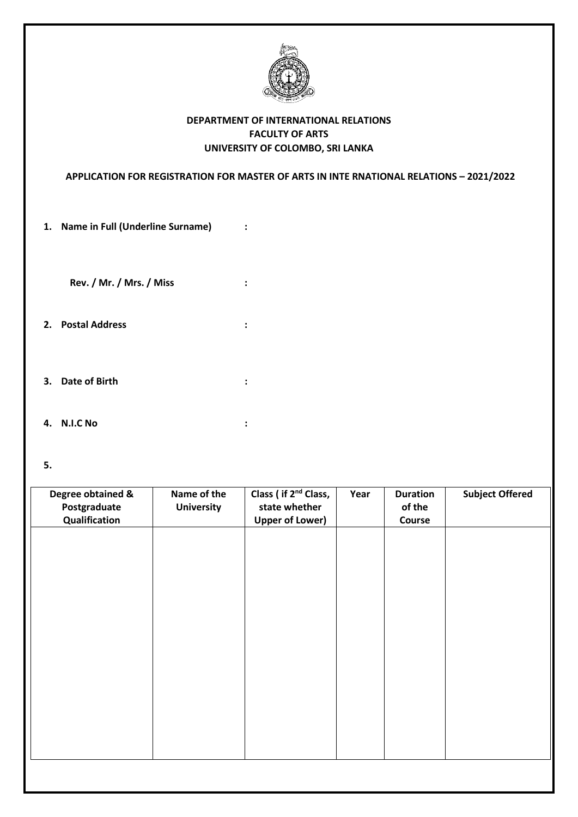

## **DEPARTMENT OF INTERNATIONAL RELATIONS FACULTY OF ARTS UNIVERSITY OF COLOMBO, SRI LANKA**

**APPLICATION FOR REGISTRATION FOR MASTER OF ARTS IN INTE RNATIONAL RELATIONS – 2021/2022**

**1. Name in Full (Underline Surname) :**

**Rev. / Mr. / Mrs. / Miss :**

- **2. Postal Address :**
- **3. Date of Birth :**
- **4. N.I.C No :**
- **5.**

| Degree obtained & | Name of the       | Class (if 2 <sup>nd</sup> Class, | Year | <b>Duration</b> | <b>Subject Offered</b> |
|-------------------|-------------------|----------------------------------|------|-----------------|------------------------|
| Postgraduate      | <b>University</b> | state whether                    |      | of the          |                        |
|                   |                   |                                  |      |                 |                        |
| Qualification     |                   | <b>Upper of Lower)</b>           |      | Course          |                        |
|                   |                   |                                  |      |                 |                        |
|                   |                   |                                  |      |                 |                        |
|                   |                   |                                  |      |                 |                        |
|                   |                   |                                  |      |                 |                        |
|                   |                   |                                  |      |                 |                        |
|                   |                   |                                  |      |                 |                        |
|                   |                   |                                  |      |                 |                        |
|                   |                   |                                  |      |                 |                        |
|                   |                   |                                  |      |                 |                        |
|                   |                   |                                  |      |                 |                        |
|                   |                   |                                  |      |                 |                        |
|                   |                   |                                  |      |                 |                        |
|                   |                   |                                  |      |                 |                        |
|                   |                   |                                  |      |                 |                        |
|                   |                   |                                  |      |                 |                        |
|                   |                   |                                  |      |                 |                        |
|                   |                   |                                  |      |                 |                        |
|                   |                   |                                  |      |                 |                        |
|                   |                   |                                  |      |                 |                        |
|                   |                   |                                  |      |                 |                        |
|                   |                   |                                  |      |                 |                        |
|                   |                   |                                  |      |                 |                        |
|                   |                   |                                  |      |                 |                        |
|                   |                   |                                  |      |                 |                        |